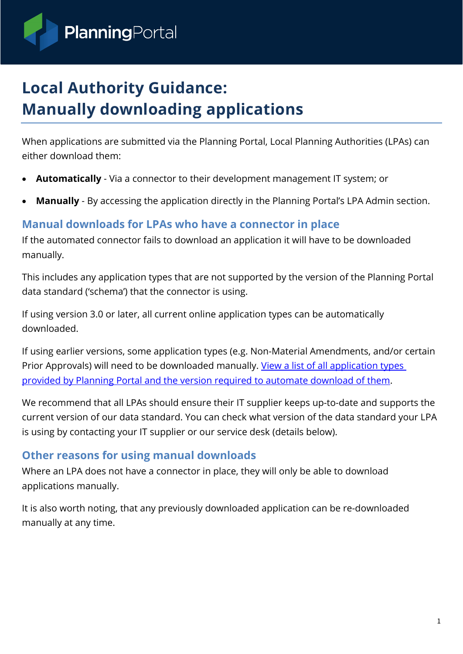

# **Local Authority Guidance: Manually downloading applications**

When applications are submitted via the Planning Portal, Local Planning Authorities (LPAs) can either download them:

- **Automatically** Via a connector to their development management IT system; or
- **Manually** By accessing the application directly in the Planning Portal's LPA Admin section.

#### **Manual downloads for LPAs who have a connector in place**

If the automated connector fails to download an application it will have to be downloaded manually.

This includes any application types that are not supported by the version of the Planning Portal data standard ('schema') that the connector is using.

If using version 3.0 or later, all current online application types can be automatically downloaded.

If using earlier versions, some application types (e.g. Non-Material Amendments, and/or certain Prior Approvals) will need to be downloaded manually. [View a list of all application types](https://ecab.planningportal.co.uk/uploads/planning-portal_online-application-types-and-references.xlsx)  [provided by Planning Portal and the version required to automate download of them.](https://ecab.planningportal.co.uk/uploads/planning-portal_online-application-types-and-references.xlsx)

We recommend that all LPAs should ensure their IT supplier keeps up-to-date and supports the current version of our data standard. You can check what version of the data standard your LPA is using by contacting your IT supplier or our service desk (details below).

#### **Other reasons for using manual downloads**

Where an LPA does not have a connector in place, they will only be able to download applications manually.

It is also worth noting, that any previously downloaded application can be re-downloaded manually at any time.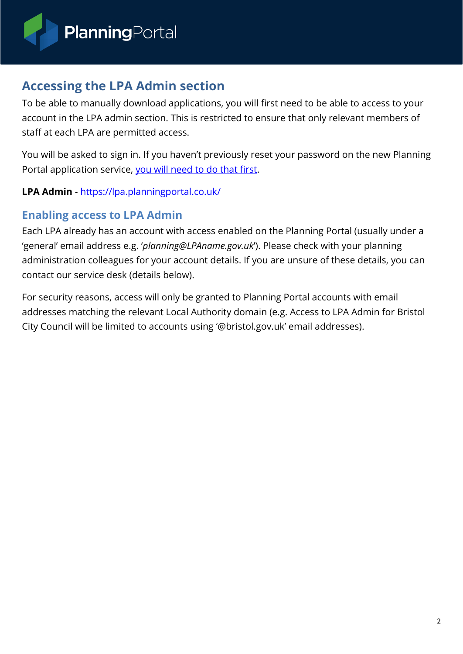

# **Accessing the LPA Admin section**

To be able to manually download applications, you will first need to be able to access to your account in the LPA admin section. This is restricted to ensure that only relevant members of staff at each LPA are permitted access.

You will be asked to sign in. If you haven't previously reset your password on the new Planning Portal application service, [you will need to do that first.](https://www.planningportal.co.uk/app/first-login)

**LPA Admin** - <https://lpa.planningportal.co.uk/>

### **Enabling access to LPA Admin**

Each LPA already has an account with access enabled on the Planning Portal (usually under a 'general' email address e.g. '*planning@LPAname.gov.uk*'). Please check with your planning administration colleagues for your account details. If you are unsure of these details, you can contact our service desk (details below).

For security reasons, access will only be granted to Planning Portal accounts with email addresses matching the relevant Local Authority domain (e.g. Access to LPA Admin for Bristol City Council will be limited to accounts using '@bristol.gov.uk' email addresses).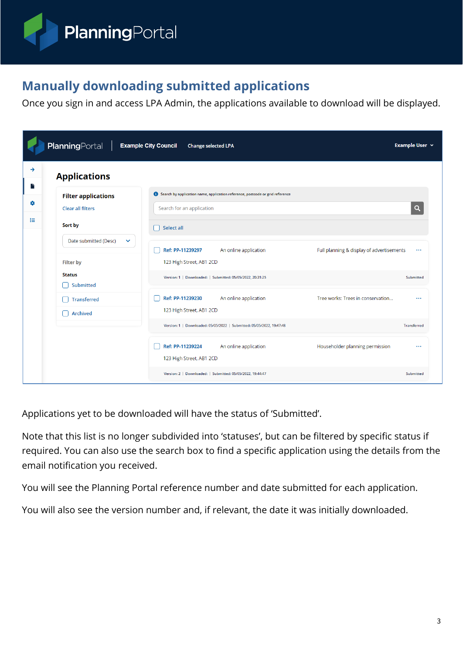

# **Manually downloading submitted applications**

Once you sign in and access LPA Admin, the applications available to download will be displayed.

| PlanningPortal<br><b>Example City Council</b><br>Example User $\vee$<br><b>Change selected LPA</b> |                                                         |                                                                                                            |                                                            |  |
|----------------------------------------------------------------------------------------------------|---------------------------------------------------------|------------------------------------------------------------------------------------------------------------|------------------------------------------------------------|--|
| →<br>F                                                                                             | <b>Applications</b>                                     |                                                                                                            |                                                            |  |
| $\bullet$                                                                                          | <b>Filter applications</b><br><b>Clear all filters</b>  | Search by application name, application reference, postcode or grid reference<br>Search for an application | $\alpha$                                                   |  |
| 挂                                                                                                  | Sort by<br>Date submitted (Desc)<br>$\checkmark$        | Select all                                                                                                 |                                                            |  |
|                                                                                                    | <b>Filter by</b>                                        | An online application<br>Ref: PP-11239297<br>123 High Street, AB1 2CD                                      | Full planning & display of advertisements<br>$\cdots$      |  |
|                                                                                                    | <b>Status</b><br><b>Submitted</b><br><b>Transferred</b> | Version: 1   Downloaded:   Submitted: 05/05/2022, 20:31:25<br>Ref: PP-11239230<br>An online application    | Submitted<br>Tree works: Trees in conservation<br>$\cdots$ |  |
|                                                                                                    | <b>Archived</b>                                         | 123 High Street, AB1 2CD<br>Version: 1   Downloaded: 05/05/2022   Submitted: 05/05/2022, 19:47:48          | <b>Transferred</b>                                         |  |
|                                                                                                    |                                                         | Ref: PP-11239224<br>An online application<br>123 High Street, AB1 2CD                                      | Householder planning permission<br>$\cdots$                |  |
|                                                                                                    |                                                         | Version: 2   Downloaded:   Submitted: 05/05/2022, 19:44:47                                                 | Submitted                                                  |  |

Applications yet to be downloaded will have the status of 'Submitted'.

Note that this list is no longer subdivided into 'statuses', but can be filtered by specific status if required. You can also use the search box to find a specific application using the details from the email notification you received.

You will see the Planning Portal reference number and date submitted for each application.

You will also see the version number and, if relevant, the date it was initially downloaded.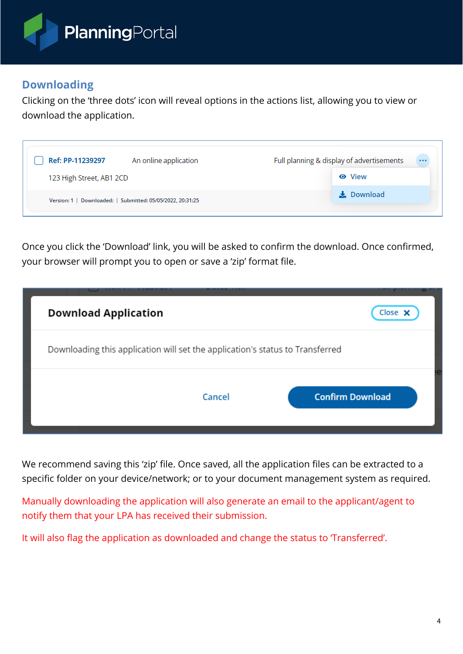

## **Downloading**

Clicking on the 'three dots' icon will reveal options in the actions list, allowing you to view or download the application.

| Ref: PP-11239297<br>An online application                  | Full planning & display of advertisements<br>$\cdots$ |
|------------------------------------------------------------|-------------------------------------------------------|
| 123 High Street, AB1 2CD                                   | <b>O</b> View                                         |
| Version: 1   Downloaded:   Submitted: 05/05/2022, 20:31:25 | $\frac{1}{2}$ Download                                |

Once you click the 'Download' link, you will be asked to confirm the download. Once confirmed, your browser will prompt you to open or save a 'zip' format file.

| <b>Download Application</b>                                                   | Close X                 |
|-------------------------------------------------------------------------------|-------------------------|
| Downloading this application will set the application's status to Transferred |                         |
| Cancel                                                                        | <b>Confirm Download</b> |

We recommend saving this 'zip' file. Once saved, all the application files can be extracted to a specific folder on your device/network; or to your document management system as required.

Manually downloading the application will also generate an email to the applicant/agent to notify them that your LPA has received their submission.

It will also flag the application as downloaded and change the status to 'Transferred'.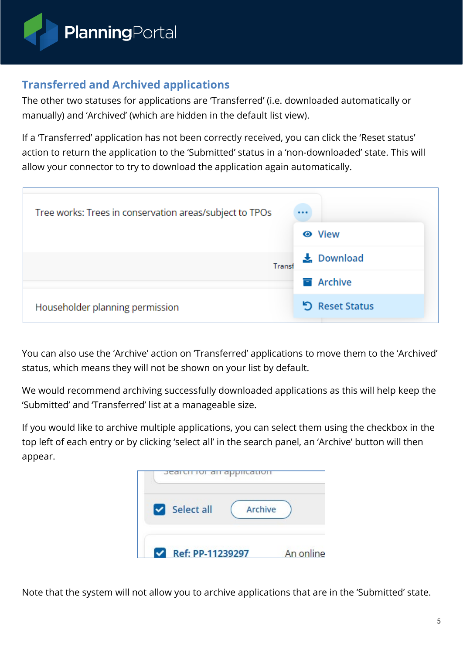

## **Transferred and Archived applications**

The other two statuses for applications are 'Transferred' (i.e. downloaded automatically or manually) and 'Archived' (which are hidden in the default list view).

If a 'Transferred' application has not been correctly received, you can click the 'Reset status' action to return the application to the 'Submitted' status in a 'non-downloaded' state. This will allow your connector to try to download the application again automatically.

| Tree works: Trees in conservation areas/subject to TPOs |                        |
|---------------------------------------------------------|------------------------|
|                                                         | <b>O</b> View          |
| Transf                                                  | $\frac{1}{2}$ Download |
|                                                         | <b>E</b> Archive       |
| Householder planning permission                         | <b>う</b> Reset Status  |

You can also use the 'Archive' action on 'Transferred' applications to move them to the 'Archived' status, which means they will not be shown on your list by default.

We would recommend archiving successfully downloaded applications as this will help keep the 'Submitted' and 'Transferred' list at a manageable size.

If you would like to archive multiple applications, you can select them using the checkbox in the top left of each entry or by clicking 'select all' in the search panel, an 'Archive' button will then appear.



Note that the system will not allow you to archive applications that are in the 'Submitted' state.